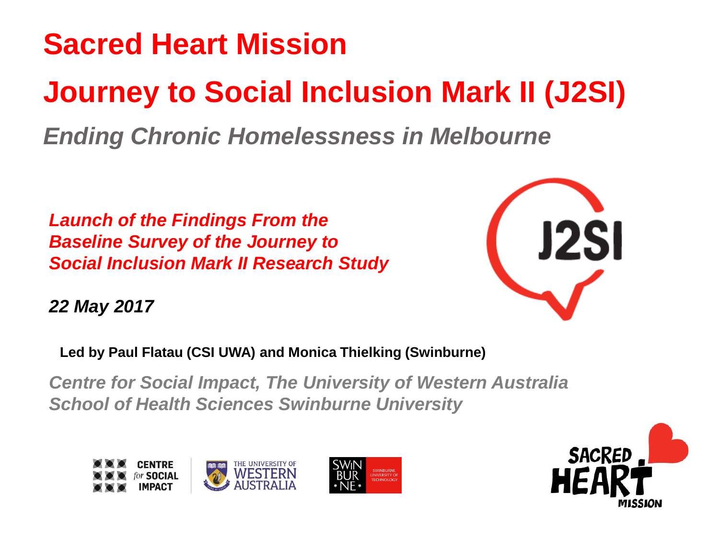# **Sacred Heart Mission Journey to Social Inclusion Mark II (J2SI)** *Ending Chronic Homelessness in Melbourne*

*Launch of the Findings From the Baseline Survey of the Journey to Social Inclusion Mark II Research Study*



*22 May 2017*

**Led by Paul Flatau (CSI UWA) and Monica Thielking (Swinburne)**

*Centre for Social Impact, The University of Western Australia School of Health Sciences Swinburne University*



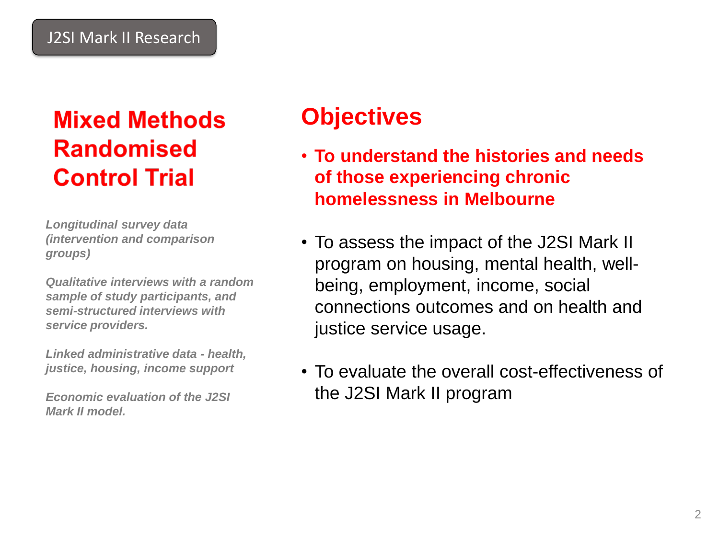# **Mixed Methods Randomised Control Trial**

*Longitudinal survey data (intervention and comparison groups)*

*Qualitative interviews with a random sample of study participants, and semi-structured interviews with service providers.* 

*Linked administrative data - health, justice, housing, income support* 

*Economic evaluation of the J2SI Mark II model.*

## **Objectives**

- **To understand the histories and needs of those experiencing chronic homelessness in Melbourne**
- To assess the impact of the J2SI Mark II program on housing, mental health, wellbeing, employment, income, social connections outcomes and on health and justice service usage.
- To evaluate the overall cost-effectiveness of the J2SI Mark II program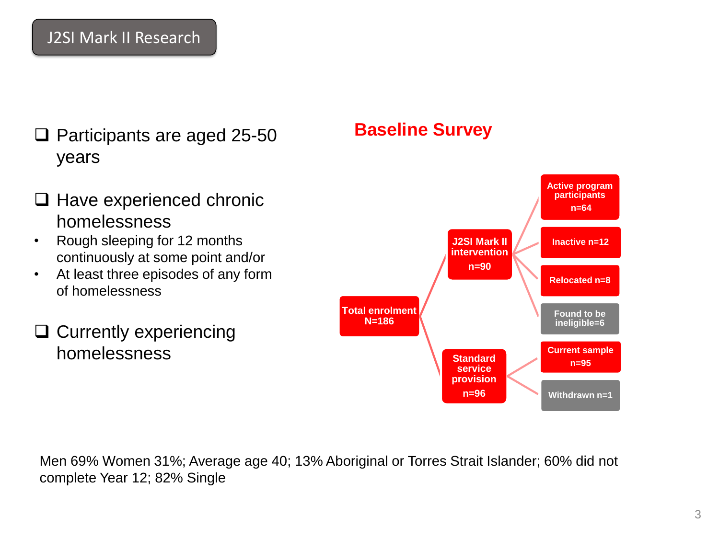- □ Participants are aged 25-50 years
- $\Box$  Have experienced chronic homelessness
- Rough sleeping for 12 months continuously at some point and/or
- At least three episodes of any form of homelessness
- $\Box$  Currently experiencing homelessness

#### **Baseline Survey**



Men 69% Women 31%; Average age 40; 13% Aboriginal or Torres Strait Islander; 60% did not complete Year 12; 82% Single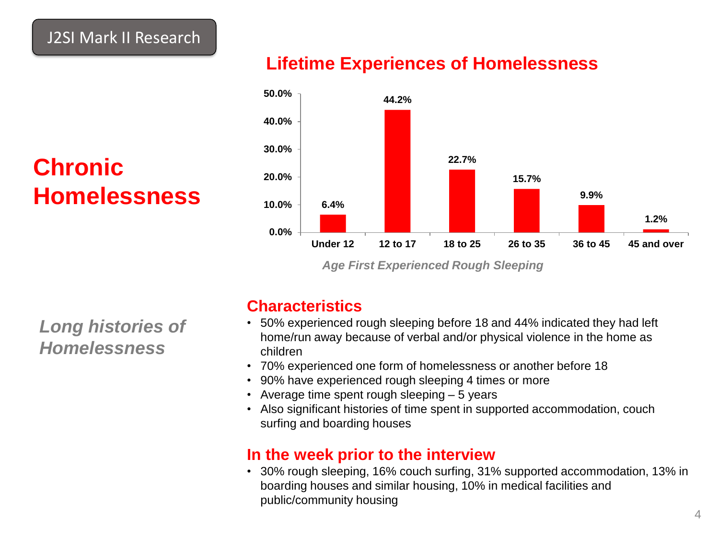# **Chronic Homelessness**

#### **Lifetime Experiences of Homelessness**



*Age First Experienced Rough Sleeping*

*Long histories of Homelessness* 

#### **Characteristics**

- 50% experienced rough sleeping before 18 and 44% indicated they had left home/run away because of verbal and/or physical violence in the home as children
- 70% experienced one form of homelessness or another before 18
- 90% have experienced rough sleeping 4 times or more
- Average time spent rough sleeping 5 years
- Also significant histories of time spent in supported accommodation, couch surfing and boarding houses

#### **In the week prior to the interview**

• 30% rough sleeping, 16% couch surfing, 31% supported accommodation, 13% in boarding houses and similar housing, 10% in medical facilities and public/community housing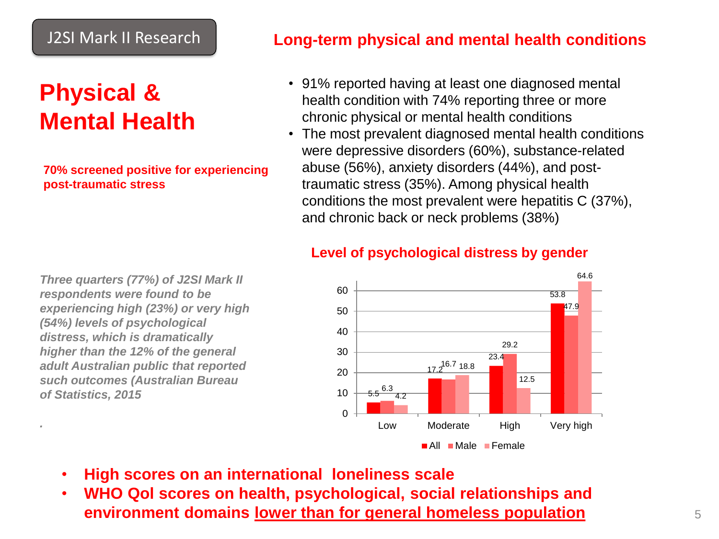### **Physical & Mental Health**

**70% screened positive for experiencing post-traumatic stress**

*Three quarters (77%) of J2SI Mark II* 

*experiencing high (23%) or very high* 

*respondents were found to be* 

*(54%) levels of psychological distress, which is dramatically higher than the 12% of the general adult Australian public that reported such outcomes (Australian Bureau* 

*of Statistics, 2015*

*.* 

**Long-term physical and mental health conditions**

- 91% reported having at least one diagnosed mental health condition with 74% reporting three or more chronic physical or mental health conditions
- The most prevalent diagnosed mental health conditions were depressive disorders (60%), substance-related abuse (56%), anxiety disorders (44%), and posttraumatic stress (35%). Among physical health conditions the most prevalent were hepatitis C (37%), and chronic back or neck problems (38%)

**Level of psychological distress by gender**



- **High scores on an international loneliness scale**
- **WHO Qol scores on health, psychological, social relationships and environment domains lower than for general homeless population**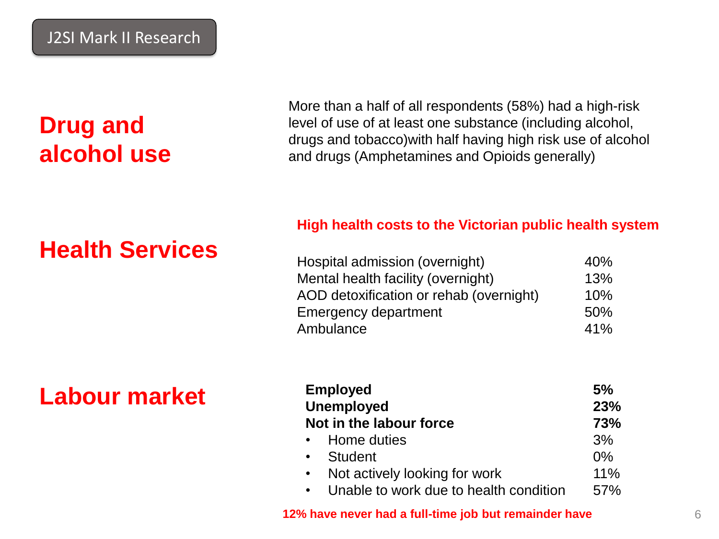# **Drug and alcohol use**

More than a half of all respondents (58%) had a high-risk level of use of at least one substance (including alcohol, drugs and tobacco)with half having high risk use of alcohol and drugs (Amphetamines and Opioids generally)

### **Health Services**

#### **High health costs to the Victorian public health system**

| Hospital admission (overnight)          | 40% |
|-----------------------------------------|-----|
| Mental health facility (overnight)      | 13% |
| AOD detoxification or rehab (overnight) | 10% |
| <b>Emergency department</b>             | 50% |
| Ambulance                               | 41% |

### **Labour market**

| <b>Employed</b><br><b>Unemployed</b><br>Not in the labour force | 5%    |
|-----------------------------------------------------------------|-------|
|                                                                 | 23%   |
|                                                                 | 73%   |
| • Home duties                                                   | 3%    |
| • Student                                                       | $0\%$ |
| $\bullet$<br>Not actively looking for work                      | 11%   |
| Unable to work due to health condition<br>$\bullet$             | 57%   |

**12% have never had a full-time job but remainder have**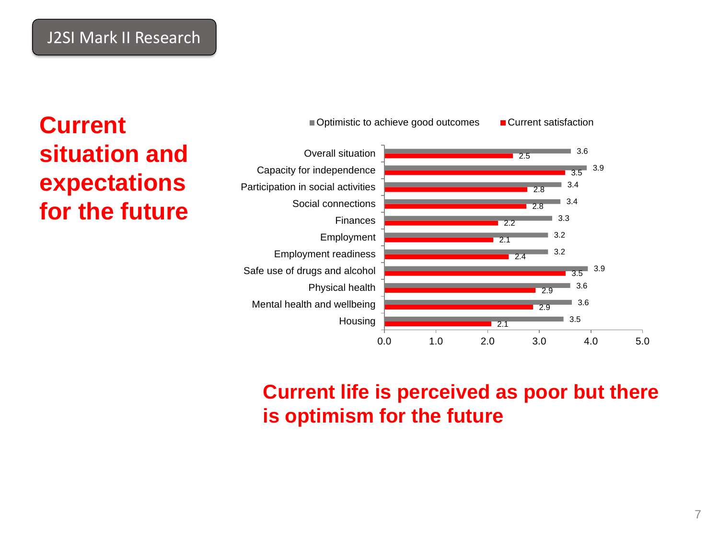

### **Current situation and expectations for the future**

### **Current life is perceived as poor but there is optimism for the future**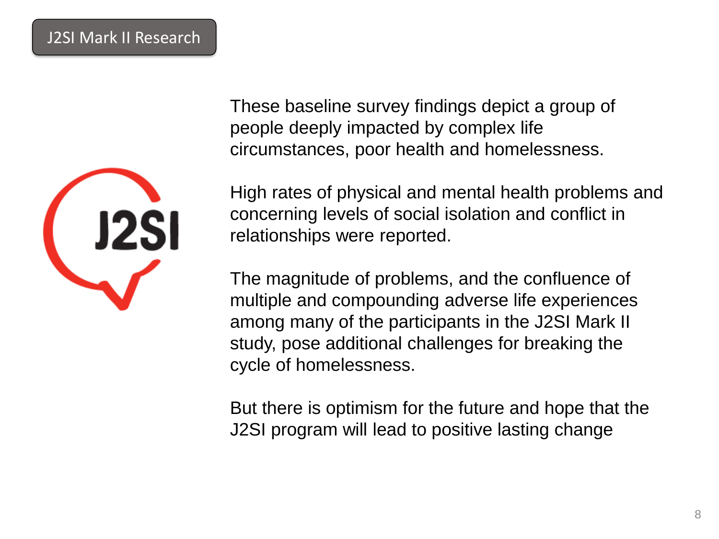

These baseline survey findings depict a group of people deeply impacted by complex life circumstances, poor health and homelessness.

High rates of physical and mental health problems and concerning levels of social isolation and conflict in relationships were reported.

The magnitude of problems, and the confluence of multiple and compounding adverse life experiences among many of the participants in the J2SI Mark II study, pose additional challenges for breaking the cycle of homelessness.

But there is optimism for the future and hope that the J2SI program will lead to positive lasting change